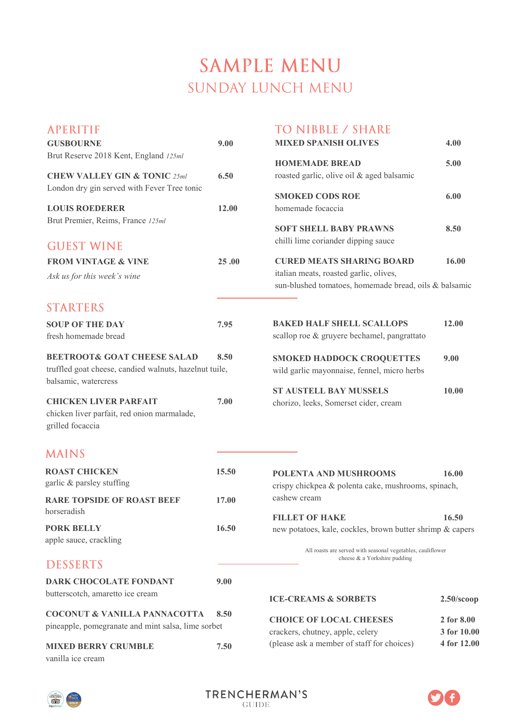# **SAMPLE MENU SUNDAY LUNCH MENU**

| <b>APERITIF</b>                                                                               |       | <b>TO NIBBLE / SHARE</b>                                                           |               |
|-----------------------------------------------------------------------------------------------|-------|------------------------------------------------------------------------------------|---------------|
| <b>GUSBOURNE</b>                                                                              | 9.00  | <b>MIXED SPANISH OLIVES</b>                                                        | 4.00          |
| Brut Reserve 2018 Kent, England 125ml                                                         |       |                                                                                    |               |
| <b>CHEW VALLEY GIN &amp; TONIC 25ml</b>                                                       | 6.50  | <b>HOMEMADE BREAD</b><br>roasted garlic, olive oil & aged balsamic                 | 5.00          |
| London dry gin served with Fever Tree tonic                                                   |       |                                                                                    |               |
|                                                                                               |       | <b>SMOKED CODS ROE</b>                                                             | 6.00          |
| <b>LOUIS ROEDERER</b>                                                                         | 12.00 | homemade focaccia                                                                  |               |
| Brut Premier, Reims, France 125ml                                                             |       | <b>SOFT SHELL BABY PRAWNS</b>                                                      | 8.50          |
| <b>GUEST WINE</b>                                                                             |       | chilli lime coriander dipping sauce                                                |               |
|                                                                                               |       |                                                                                    |               |
| <b>FROM VINTAGE &amp; VINE</b>                                                                | 25.00 | <b>CURED MEATS SHARING BOARD</b><br>italian meats, roasted garlic, olives,         | 16.00         |
| Ask us for this week's wine                                                                   |       | sun-blushed tomatoes, homemade bread, oils & balsamic                              |               |
|                                                                                               |       |                                                                                    |               |
| <b>STARTERS</b>                                                                               |       |                                                                                    |               |
| <b>SOUP OF THE DAY</b>                                                                        | 7.95  | <b>BAKED HALF SHELL SCALLOPS</b>                                                   | 12.00         |
| fresh homemade bread                                                                          |       | scallop roe & gruyere bechamel, pangrattato                                        |               |
| <b>BEETROOT&amp; GOAT CHEESE SALAD</b>                                                        | 8.50  | <b>SMOKED HADDOCK CROQUETTES</b>                                                   | 9.00          |
| truffled goat cheese, candied walnuts, hazelnut tuile,                                        |       | wild garlic mayonnaise, fennel, micro herbs                                        |               |
| balsamic, watercress                                                                          |       |                                                                                    |               |
|                                                                                               |       | <b>ST AUSTELL BAY MUSSELS</b>                                                      | 10.00         |
| <b>CHICKEN LIVER PARFAIT</b><br>chicken liver parfait, red onion marmalade,                   | 7.00  | chorizo, leeks, Somerset cider, cream                                              |               |
| grilled focaccia                                                                              |       |                                                                                    |               |
|                                                                                               |       |                                                                                    |               |
| <b>MAINS</b>                                                                                  |       |                                                                                    |               |
| <b>ROAST CHICKEN</b>                                                                          | 15.50 | <b>POLENTA AND MUSHROOMS</b>                                                       | 16.00         |
| garlic & parsley stuffing                                                                     |       | crispy chickpea & polenta cake, mushrooms, spinach,                                |               |
| <b>RARE TOPSIDE OF ROAST BEEF</b>                                                             | 17.00 | cashew cream                                                                       |               |
| horseradish                                                                                   |       |                                                                                    |               |
| <b>PORK BELLY</b>                                                                             | 16.50 | <b>FILLET OF HAKE</b><br>new potatoes, kale, cockles, brown butter shrimp & capers | 16.50         |
| apple sauce, crackling                                                                        |       |                                                                                    |               |
|                                                                                               |       | All roasts are served with seasonal vegetables, cauliflower                        |               |
| <b>DESSERTS</b>                                                                               |       | cheese & a Yorkshire pudding                                                       |               |
| <b>DARK CHOCOLATE FONDANT</b>                                                                 | 9.00  |                                                                                    |               |
| butterscotch, amaretto ice cream                                                              |       | <b>ICE-CREAMS &amp; SORBETS</b>                                                    |               |
|                                                                                               |       |                                                                                    | $2.50$ /scoop |
| <b>COCONUT &amp; VANILLA PANNACOTTA</b><br>pineapple, pomegranate and mint salsa, lime sorbet | 8.50  | <b>CHOICE OF LOCAL CHEESES</b>                                                     | 2 for 8.00    |
|                                                                                               |       | crackers, chutney, apple, celery                                                   | 3 for 10.00   |
| <b>MIXED BERRY CRUMBLE</b>                                                                    | 7.50  | (please ask a member of staff for choices)                                         | 4 for 12.00   |
| vanilla ice cream                                                                             |       |                                                                                    |               |